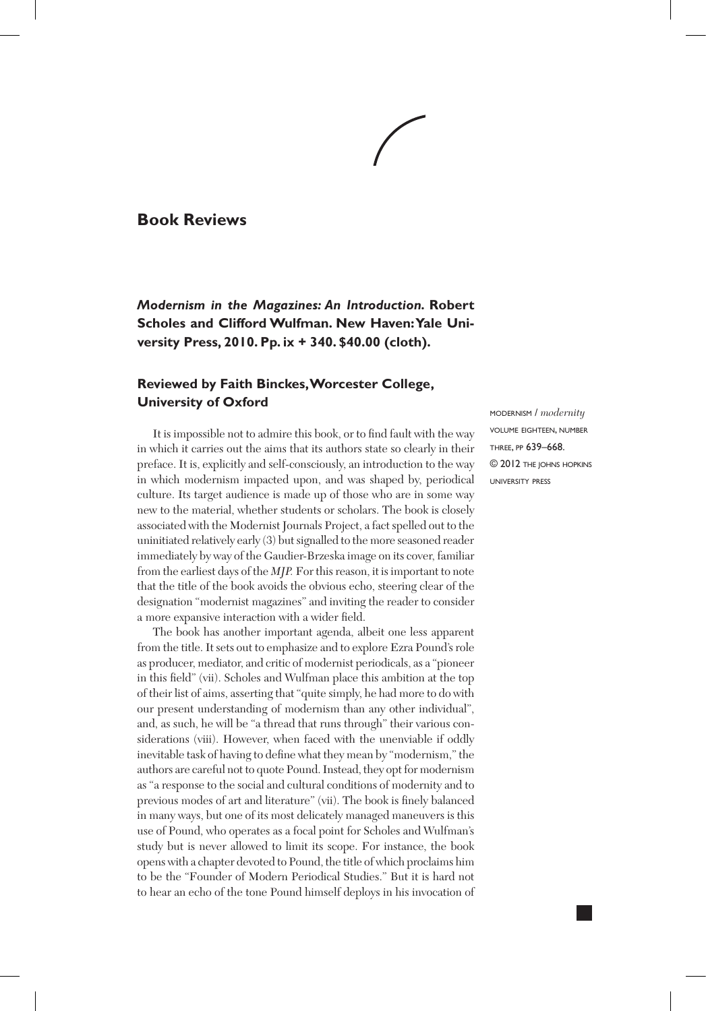# **Book Reviews**

*Modernism in the Magazines: An Introduction.* **Robert**  Scholes and Clifford Wulfman. New Haven: Yale Uni**versity Press, 2010. Pp. ix + 340. \$40.00 (cloth).** 

### **Reviewed by Faith Binckes,Worcester College, University of Oxford**

It is impossible not to admire this book, or to find fault with the way in which it carries out the aims that its authors state so clearly in their preface. It is, explicitly and self-consciously, an introduction to the way in which modernism impacted upon, and was shaped by, periodical culture. Its target audience is made up of those who are in some way new to the material, whether students or scholars. The book is closely associated with the Modernist Journals Project, a fact spelled out to the uninitiated relatively early (3) but signalled to the more seasoned reader immediately by way of the Gaudier-Brzeska image on its cover, familiar from the earliest days of the *MJP.* For this reason, it is important to note that the title of the book avoids the obvious echo, steering clear of the designation "modernist magazines" and inviting the reader to consider a more expansive interaction with a wider field.

The book has another important agenda, albeit one less apparent from the title. It sets out to emphasize and to explore Ezra Pound's role as producer, mediator, and critic of modernist periodicals, as a "pioneer in this field" (vii). Scholes and Wulfman place this ambition at the top of their list of aims, asserting that "quite simply, he had more to do with our present understanding of modernism than any other individual", and, as such, he will be "a thread that runs through" their various considerations (viii). However, when faced with the unenviable if oddly inevitable task of having to define what they mean by "modernism," the authors are careful not to quote Pound. Instead, they opt for modernism as "a response to the social and cultural conditions of modernity and to previous modes of art and literature" (vii). The book is finely balanced in many ways, but one of its most delicately managed maneuvers is this use of Pound, who operates as a focal point for Scholes and Wulfman's study but is never allowed to limit its scope. For instance, the book opens with a chapter devoted to Pound, the title of which proclaims him to be the "Founder of Modern Periodical Studies." But it is hard not to hear an echo of the tone Pound himself deploys in his invocation of

modernism / *modernity*  volume eighteen, number three, pp 639–668. © 2012 the johns hopkins university press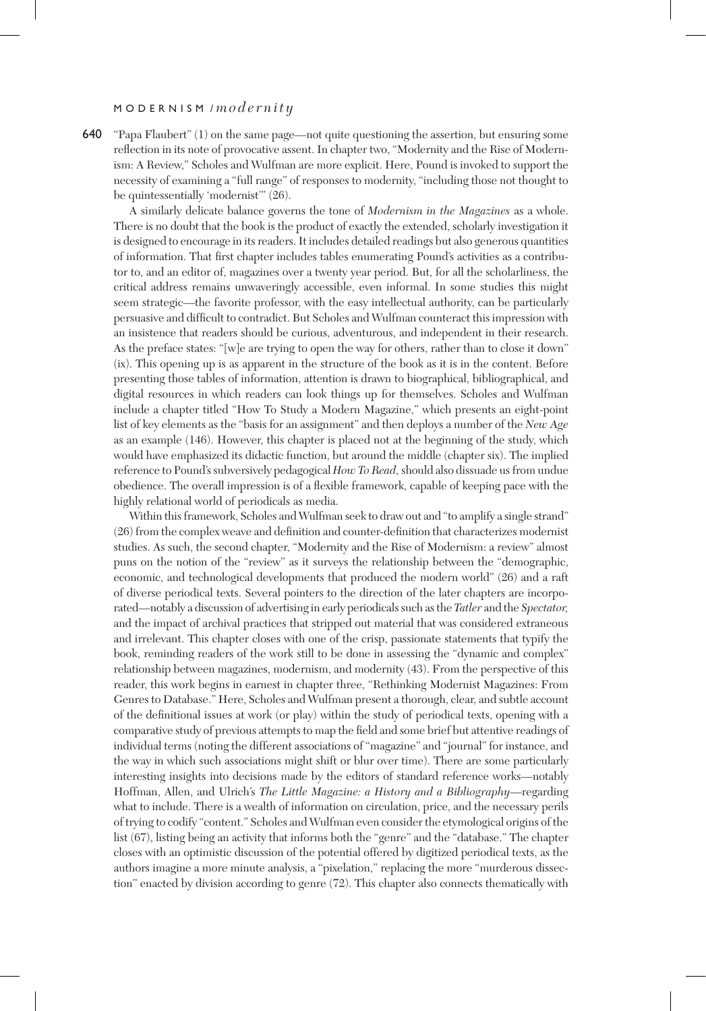#### M O D E R N I S M / *mo d e r n it y*

640 "Papa Flaubert" (1) on the same page—not quite questioning the assertion, but ensuring some reflection in its note of provocative assent. In chapter two, "Modernity and the Rise of Modernism: A Review," Scholes and Wulfman are more explicit. Here, Pound is invoked to support the necessity of examining a "full range" of responses to modernity, "including those not thought to be quintessentially 'modernist'" (26).

A similarly delicate balance governs the tone of *Modernism in the Magazines* as a whole. There is no doubt that the book is the product of exactly the extended, scholarly investigation it is designed to encourage in its readers. It includes detailed readings but also generous quantities of information. That first chapter includes tables enumerating Pound's activities as a contributor to, and an editor of, magazines over a twenty year period. But, for all the scholarliness, the critical address remains unwaveringly accessible, even informal. In some studies this might seem strategic—the favorite professor, with the easy intellectual authority, can be particularly persuasive and difficult to contradict. But Scholes and Wulfman counteract this impression with an insistence that readers should be curious, adventurous, and independent in their research. As the preface states: "[w]e are trying to open the way for others, rather than to close it down" (ix). This opening up is as apparent in the structure of the book as it is in the content. Before presenting those tables of information, attention is drawn to biographical, bibliographical, and digital resources in which readers can look things up for themselves. Scholes and Wulfman include a chapter titled "How To Study a Modern Magazine," which presents an eight-point list of key elements as the "basis for an assignment" and then deploys a number of the *New Age*  as an example (146). However, this chapter is placed not at the beginning of the study, which would have emphasized its didactic function, but around the middle (chapter six). The implied reference to Pound's subversively pedagogical *How To Read,* should also dissuade us from undue obedience. The overall impression is of a flexible framework, capable of keeping pace with the highly relational world of periodicals as media.

Within this framework, Scholes and Wulfman seek to draw out and "to amplify a single strand" (26) from the complex weave and definition and counter-definition that characterizes modernist studies. As such, the second chapter, "Modernity and the Rise of Modernism: a review" almost puns on the notion of the "review" as it surveys the relationship between the "demographic, economic, and technological developments that produced the modern world" (26) and a raft of diverse periodical texts. Several pointers to the direction of the later chapters are incorporated—notably a discussion of advertising in early periodicals such as the *Tatler* and the *Spectator,*  and the impact of archival practices that stripped out material that was considered extraneous and irrelevant. This chapter closes with one of the crisp, passionate statements that typify the book, reminding readers of the work still to be done in assessing the "dynamic and complex" relationship between magazines, modernism, and modernity (43). From the perspective of this reader, this work begins in earnest in chapter three, "Rethinking Modernist Magazines: From Genres to Database." Here, Scholes and Wulfman present a thorough, clear, and subtle account of the definitional issues at work (or play) within the study of periodical texts, opening with a comparative study of previous attempts to map the field and some brief but attentive readings of individual terms (noting the different associations of "magazine" and "journal" for instance, and the way in which such associations might shift or blur over time). There are some particularly interesting insights into decisions made by the editors of standard reference works—notably Hoffman, Allen, and Ulrich's *The Little Magazine: a History and a Bibliography*—regarding what to include. There is a wealth of information on circulation, price, and the necessary perils of trying to codify "content." Scholes and Wulfman even consider the etymological origins of the list (67), listing being an activity that informs both the "genre" and the "database." The chapter closes with an optimistic discussion of the potential offered by digitized periodical texts, as the authors imagine a more minute analysis, a "pixelation," replacing the more "murderous dissection" enacted by division according to genre (72). This chapter also connects thematically with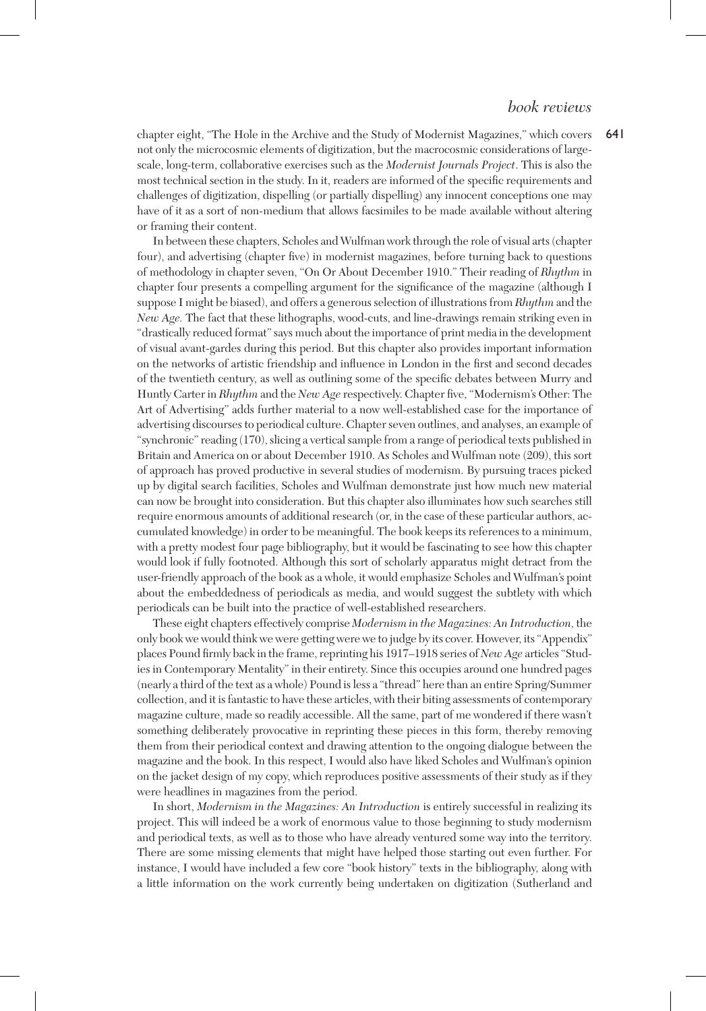### *book reviews*

chapter eight, "The Hole in the Archive and the Study of Modernist Magazines," which covers 641 not only the microcosmic elements of digitization, but the macrocosmic considerations of largescale, long-term, collaborative exercises such as the *Modernist Journals Project*. This is also the most technical section in the study. In it, readers are informed of the specific requirements and challenges of digitization, dispelling (or partially dispelling) any innocent conceptions one may have of it as a sort of non-medium that allows facsimiles to be made available without altering or framing their content.

In between these chapters, Scholes and Wulfman work through the role of visual arts (chapter four), and advertising (chapter five) in modernist magazines, before turning back to questions of methodology in chapter seven, "On Or About December 1910." Their reading of *Rhythm* in chapter four presents a compelling argument for the significance of the magazine (although I suppose I might be biased), and offers a generous selection of illustrations from *Rhythm* and the *New Age.* The fact that these lithographs, wood-cuts, and line-drawings remain striking even in "drastically reduced format" says much about the importance of print media in the development of visual avant-gardes during this period. But this chapter also provides important information on the networks of artistic friendship and influence in London in the first and second decades of the twentieth century, as well as outlining some of the specific debates between Murry and Huntly Carter in *Rhythm* and the *New Age* respectively. Chapter five, "Modernism's Other: The Art of Advertising" adds further material to a now well-established case for the importance of advertising discourses to periodical culture. Chapter seven outlines, and analyses, an example of "synchronic" reading (170), slicing a vertical sample from a range of periodical texts published in Britain and America on or about December 1910. As Scholes and Wulfman note (209), this sort of approach has proved productive in several studies of modernism. By pursuing traces picked up by digital search facilities, Scholes and Wulfman demonstrate just how much new material can now be brought into consideration. But this chapter also illuminates how such searches still require enormous amounts of additional research (or, in the case of these particular authors, accumulated knowledge) in order to be meaningful. The book keeps its references to a minimum, with a pretty modest four page bibliography, but it would be fascinating to see how this chapter would look if fully footnoted. Although this sort of scholarly apparatus might detract from the user-friendly approach of the book as a whole, it would emphasize Scholes and Wulfman's point about the embeddedness of periodicals as media, and would suggest the subtlety with which periodicals can be built into the practice of well-established researchers.

These eight chapters effectively comprise *Modernism in the Magazines: An Introduction,* the only book we would think we were getting were we to judge by its cover. However, its "Appendix" places Pound firmly back in the frame, reprinting his 1917–1918 series of *New Age* articles "Studies in Contemporary Mentality" in their entirety. Since this occupies around one hundred pages (nearly a third of the text as a whole) Pound is less a "thread" here than an entire Spring/Summer collection, and it is fantastic to have these articles, with their biting assessments of contemporary magazine culture, made so readily accessible. All the same, part of me wondered if there wasn't something deliberately provocative in reprinting these pieces in this form, thereby removing them from their periodical context and drawing attention to the ongoing dialogue between the magazine and the book. In this respect, I would also have liked Scholes and Wulfman's opinion on the jacket design of my copy, which reproduces positive assessments of their study as if they were headlines in magazines from the period.

In short, *Modernism in the Magazines: An Introduction* is entirely successful in realizing its project. This will indeed be a work of enormous value to those beginning to study modernism and periodical texts, as well as to those who have already ventured some way into the territory. There are some missing elements that might have helped those starting out even further. For instance, I would have included a few core "book history" texts in the bibliography, along with a little information on the work currently being undertaken on digitization (Sutherland and